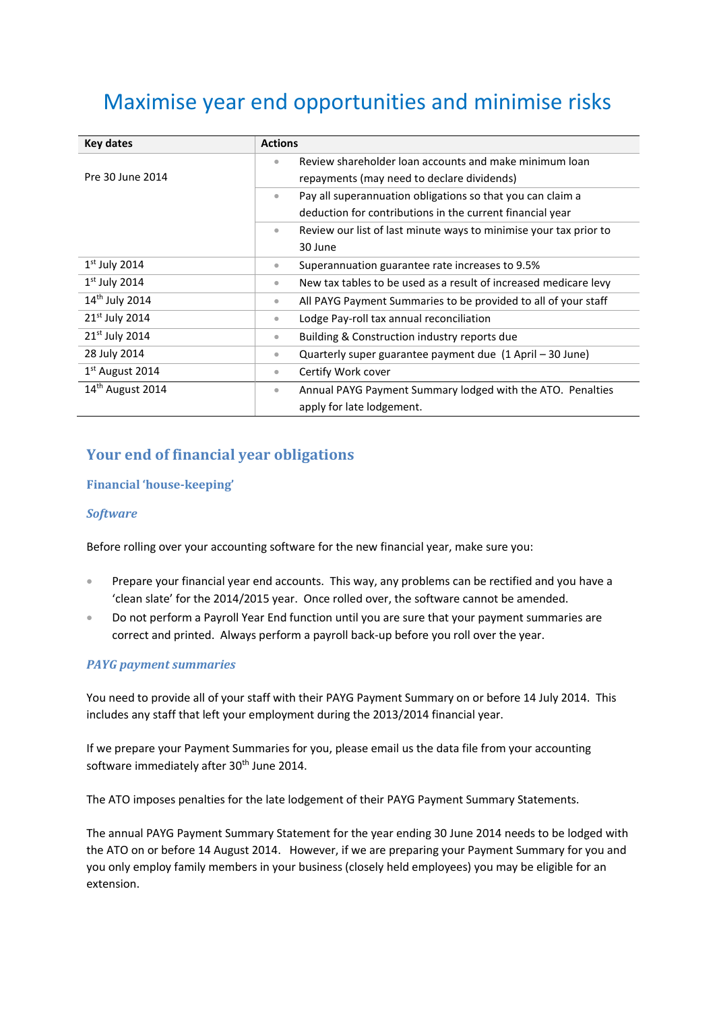# Maximise year end opportunities and minimise risks

| Key dates                    | <b>Actions</b>                                                                              |
|------------------------------|---------------------------------------------------------------------------------------------|
| Pre 30 June 2014             | Review shareholder loan accounts and make minimum loan<br>۰                                 |
|                              | repayments (may need to declare dividends)                                                  |
|                              | Pay all superannuation obligations so that you can claim a<br>$\qquad \qquad \bullet$       |
|                              | deduction for contributions in the current financial year                                   |
|                              | Review our list of last minute ways to minimise your tax prior to<br>$\bullet$              |
|                              | 30 June                                                                                     |
| $1st$ July 2014              | Superannuation guarantee rate increases to 9.5%<br>$\bullet$                                |
| $1st$ July 2014              | New tax tables to be used as a result of increased medicare levy<br>$\qquad \qquad \bullet$ |
| 14 <sup>th</sup> July 2014   | All PAYG Payment Summaries to be provided to all of your staff<br>$\qquad \qquad \bullet$   |
| 21st July 2014               | Lodge Pay-roll tax annual reconciliation<br>$\bullet$                                       |
| $21st$ July 2014             | Building & Construction industry reports due<br>$\bullet$                                   |
| 28 July 2014                 | Quarterly super guarantee payment due (1 April – 30 June)<br>$\bullet$                      |
| $1st$ August 2014            | Certify Work cover<br>$\qquad \qquad \bullet$                                               |
| 14 <sup>th</sup> August 2014 | Annual PAYG Payment Summary lodged with the ATO. Penalties<br>$\bullet$                     |
|                              | apply for late lodgement.                                                                   |

## **Your end of financial year obligations**

#### **Financial 'house-keeping'**

#### *Software*

Before rolling over your accounting software for the new financial year, make sure you:

- Prepare your financial year end accounts. This way, any problems can be rectified and you have a 'clean slate' for the 2014/2015 year. Once rolled over, the software cannot be amended.
- Do not perform a Payroll Year End function until you are sure that your payment summaries are correct and printed. Always perform a payroll back-up before you roll over the year.

#### *PAYG payment summaries*

You need to provide all of your staff with their PAYG Payment Summary on or before 14 July 2014. This includes any staff that left your employment during the 2013/2014 financial year.

If we prepare your Payment Summaries for you, please email us the data file from your accounting software immediately after 30<sup>th</sup> June 2014.

The ATO imposes penalties for the late lodgement of their PAYG Payment Summary Statements.

The annual PAYG Payment Summary Statement for the year ending 30 June 2014 needs to be lodged with the ATO on or before 14 August 2014. However, if we are preparing your Payment Summary for you and you only employ family members in your business (closely held employees) you may be eligible for an extension.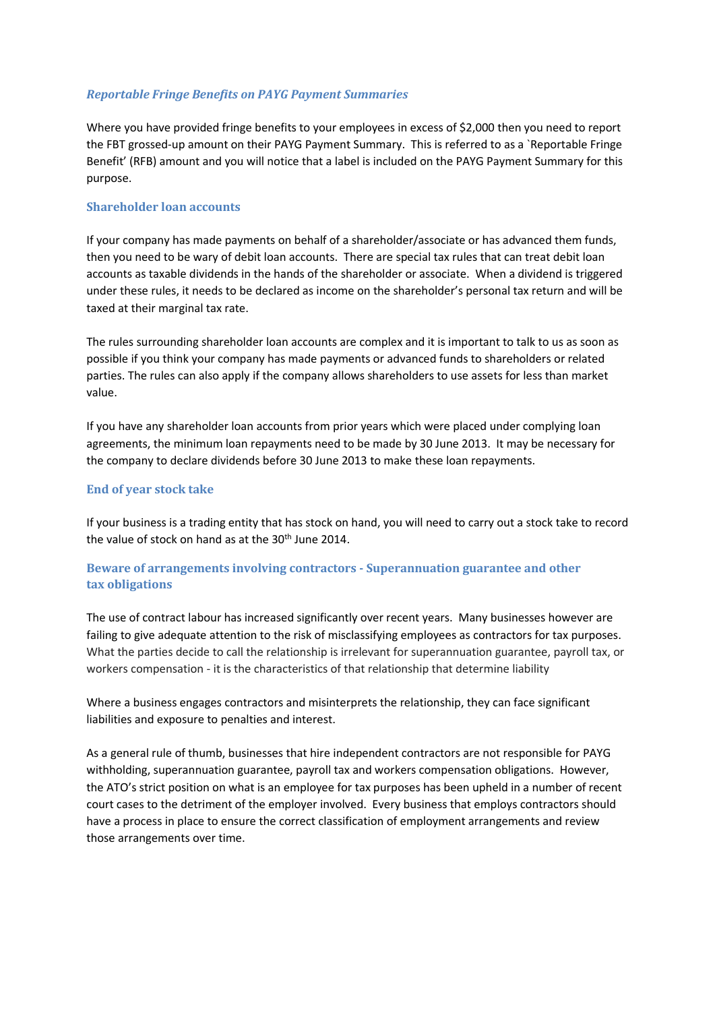#### *Reportable Fringe Benefits on PAYG Payment Summaries*

Where you have provided fringe benefits to your employees in excess of \$2,000 then you need to report the FBT grossed-up amount on their PAYG Payment Summary. This is referred to as a `Reportable Fringe Benefit' (RFB) amount and you will notice that a label is included on the PAYG Payment Summary for this purpose.

#### **Shareholder loan accounts**

If your company has made payments on behalf of a shareholder/associate or has advanced them funds, then you need to be wary of debit loan accounts. There are special tax rules that can treat debit loan accounts as taxable dividends in the hands of the shareholder or associate. When a dividend is triggered under these rules, it needs to be declared as income on the shareholder's personal tax return and will be taxed at their marginal tax rate.

The rules surrounding shareholder loan accounts are complex and it is important to talk to us as soon as possible if you think your company has made payments or advanced funds to shareholders or related parties. The rules can also apply if the company allows shareholders to use assets for less than market value.

If you have any shareholder loan accounts from prior years which were placed under complying loan agreements, the minimum loan repayments need to be made by 30 June 2013. It may be necessary for the company to declare dividends before 30 June 2013 to make these loan repayments.

#### **End of year stock take**

If your business is a trading entity that has stock on hand, you will need to carry out a stock take to record the value of stock on hand as at the  $30<sup>th</sup>$  June 2014.

#### **Beware of arrangements involving contractors - Superannuation guarantee and other tax obligations**

The use of contract labour has increased significantly over recent years. Many businesses however are failing to give adequate attention to the risk of misclassifying employees as contractors for tax purposes. What the parties decide to call the relationship is irrelevant for superannuation guarantee, payroll tax, or workers compensation - it is the characteristics of that relationship that determine liability

Where a business engages contractors and misinterprets the relationship, they can face significant liabilities and exposure to penalties and interest.

As a general rule of thumb, businesses that hire independent contractors are not responsible for PAYG withholding, superannuation guarantee, payroll tax and workers compensation obligations. However, the ATO's strict position on what is an employee for tax purposes has been upheld in a number of recent court cases to the detriment of the employer involved. Every business that employs contractors should have a process in place to ensure the correct classification of employment arrangements and review those arrangements over time.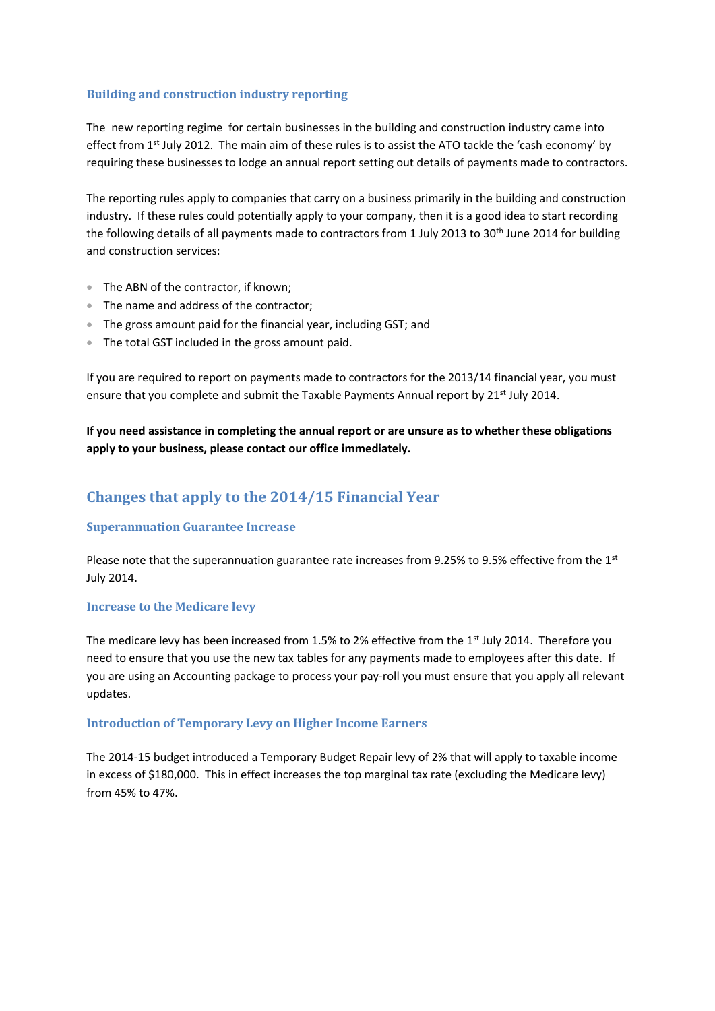#### **Building and construction industry reporting**

The new reporting regime for certain businesses in the building and construction industry came into effect from 1<sup>st</sup> July 2012. The main aim of these rules is to assist the ATO tackle the 'cash economy' by requiring these businesses to lodge an annual report setting out details of payments made to contractors.

The reporting rules apply to companies that carry on a business primarily in the building and construction industry. If these rules could potentially apply to your company, then it is a good idea to start recording the following details of all payments made to contractors from 1 July 2013 to 30<sup>th</sup> June 2014 for building and construction services:

- The ABN of the contractor, if known;
- The name and address of the contractor;
- The gross amount paid for the financial year, including GST; and
- The total GST included in the gross amount paid.

If you are required to report on payments made to contractors for the 2013/14 financial year, you must ensure that you complete and submit the Taxable Payments Annual report by 21<sup>st</sup> July 2014.

**If you need assistance in completing the annual report or are unsure as to whether these obligations apply to your business, please contact our office immediately.**

## **Changes that apply to the 2014/15 Financial Year**

#### **Superannuation Guarantee Increase**

Please note that the superannuation guarantee rate increases from 9.25% to 9.5% effective from the  $1<sup>st</sup>$ July 2014.

#### **Increase to the Medicare levy**

The medicare levy has been increased from 1.5% to 2% effective from the 1<sup>st</sup> July 2014. Therefore you need to ensure that you use the new tax tables for any payments made to employees after this date. If you are using an Accounting package to process your pay-roll you must ensure that you apply all relevant updates.

#### **Introduction of Temporary Levy on Higher Income Earners**

The 2014-15 budget introduced a Temporary Budget Repair levy of 2% that will apply to taxable income in excess of \$180,000. This in effect increases the top marginal tax rate (excluding the Medicare levy) from 45% to 47%.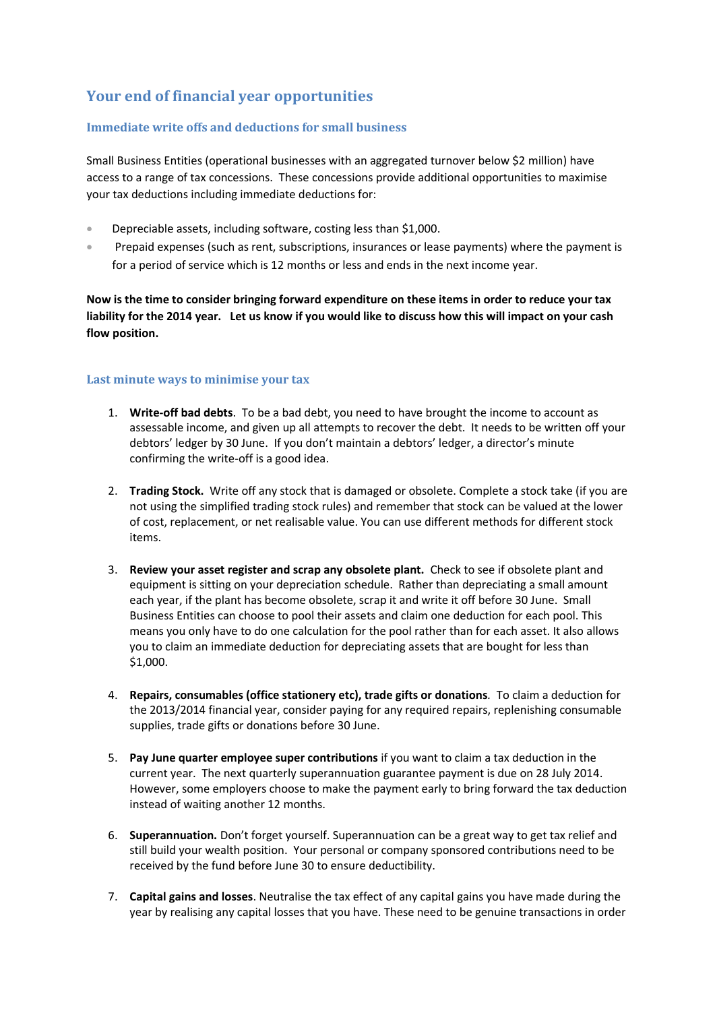## **Your end of financial year opportunities**

#### **Immediate write offs and deductions for small business**

Small Business Entities (operational businesses with an aggregated turnover below \$2 million) have access to a range of tax concessions. These concessions provide additional opportunities to maximise your tax deductions including immediate deductions for:

- Depreciable assets, including software, costing less than \$1,000.
- Prepaid expenses (such as rent, subscriptions, insurances or lease payments) where the payment is for a period of service which is 12 months or less and ends in the next income year.

**Now is the time to consider bringing forward expenditure on these items in order to reduce your tax liability for the 2014 year. Let us know if you would like to discuss how this will impact on your cash flow position.** 

#### **Last minute ways to minimise your tax**

- 1. **Write-off bad debts**. To be a bad debt, you need to have brought the income to account as assessable income, and given up all attempts to recover the debt. It needs to be written off your debtors' ledger by 30 June. If you don't maintain a debtors' ledger, a director's minute confirming the write-off is a good idea.
- 2. **Trading Stock.** Write off any stock that is damaged or obsolete. Complete a stock take (if you are not using the simplified trading stock rules) and remember that stock can be valued at the lower of cost, replacement, or net realisable value. You can use different methods for different stock items.
- 3. **Review your asset register and scrap any obsolete plant.** Check to see if obsolete plant and equipment is sitting on your depreciation schedule. Rather than depreciating a small amount each year, if the plant has become obsolete, scrap it and write it off before 30 June. Small Business Entities can choose to pool their assets and claim one deduction for each pool. This means you only have to do one calculation for the pool rather than for each asset. It also allows you to claim an immediate deduction for depreciating assets that are bought for less than \$1,000.
- 4. **Repairs, consumables (office stationery etc), trade gifts or donations***.* To claim a deduction for the 2013/2014 financial year, consider paying for any required repairs, replenishing consumable supplies, trade gifts or donations before 30 June.
- 5. **Pay June quarter employee super contributions** if you want to claim a tax deduction in the current year. The next quarterly superannuation guarantee payment is due on 28 July 2014. However, some employers choose to make the payment early to bring forward the tax deduction instead of waiting another 12 months.
- 6. **Superannuation.** Don't forget yourself. Superannuation can be a great way to get tax relief and still build your wealth position. Your personal or company sponsored contributions need to be received by the fund before June 30 to ensure deductibility.
- 7. **Capital gains and losses**. Neutralise the tax effect of any capital gains you have made during the year by realising any capital losses that you have. These need to be genuine transactions in order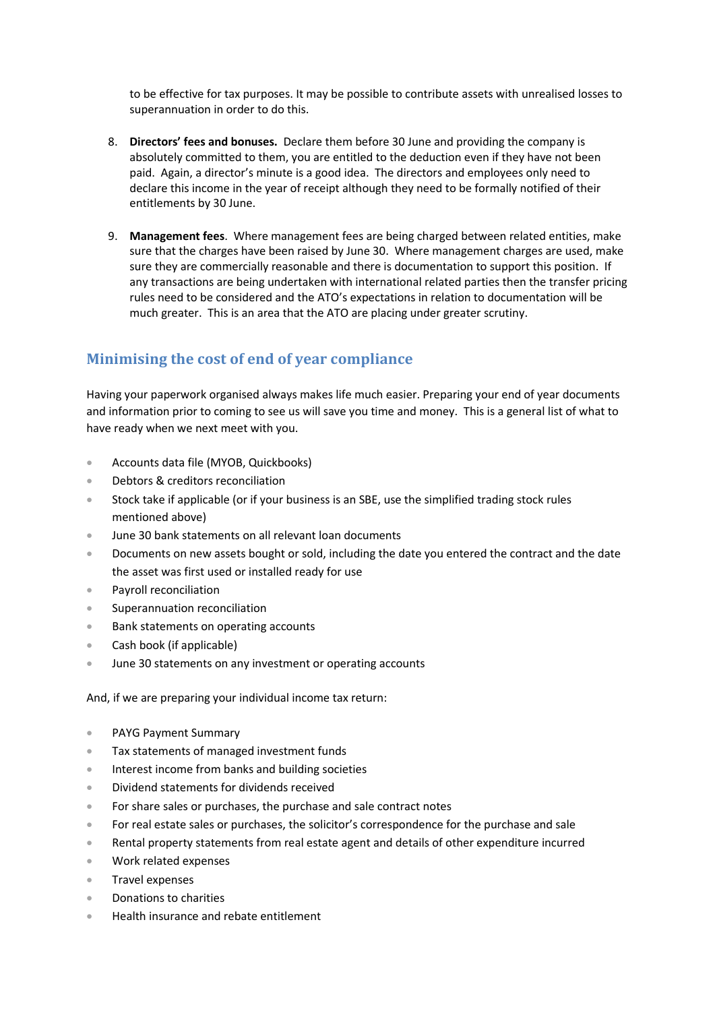to be effective for tax purposes. It may be possible to contribute assets with unrealised losses to superannuation in order to do this.

- 8. **Directors' fees and bonuses.** Declare them before 30 June and providing the company is absolutely committed to them, you are entitled to the deduction even if they have not been paid. Again, a director's minute is a good idea. The directors and employees only need to declare this income in the year of receipt although they need to be formally notified of their entitlements by 30 June.
- 9. **Management fees**. Where management fees are being charged between related entities, make sure that the charges have been raised by June 30. Where management charges are used, make sure they are commercially reasonable and there is documentation to support this position. If any transactions are being undertaken with international related parties then the transfer pricing rules need to be considered and the ATO's expectations in relation to documentation will be much greater. This is an area that the ATO are placing under greater scrutiny.

### **Minimising the cost of end of year compliance**

Having your paperwork organised always makes life much easier. Preparing your end of year documents and information prior to coming to see us will save you time and money. This is a general list of what to have ready when we next meet with you.

- Accounts data file (MYOB, Quickbooks)
- Debtors & creditors reconciliation
- Stock take if applicable (or if your business is an SBE, use the simplified trading stock rules mentioned above)
- June 30 bank statements on all relevant loan documents
- **Documents on new assets bought or sold, including the date you entered the contract and the date** the asset was first used or installed ready for use
- Payroll reconciliation
- **Superannuation reconciliation**
- Bank statements on operating accounts
- Cash book (if applicable)
- June 30 statements on any investment or operating accounts

And, if we are preparing your individual income tax return:

- PAYG Payment Summary
- Tax statements of managed investment funds
- Interest income from banks and building societies
- Dividend statements for dividends received
- For share sales or purchases, the purchase and sale contract notes
- For real estate sales or purchases, the solicitor's correspondence for the purchase and sale
- Rental property statements from real estate agent and details of other expenditure incurred
- Work related expenses
- Travel expenses
- Donations to charities
- Health insurance and rebate entitlement